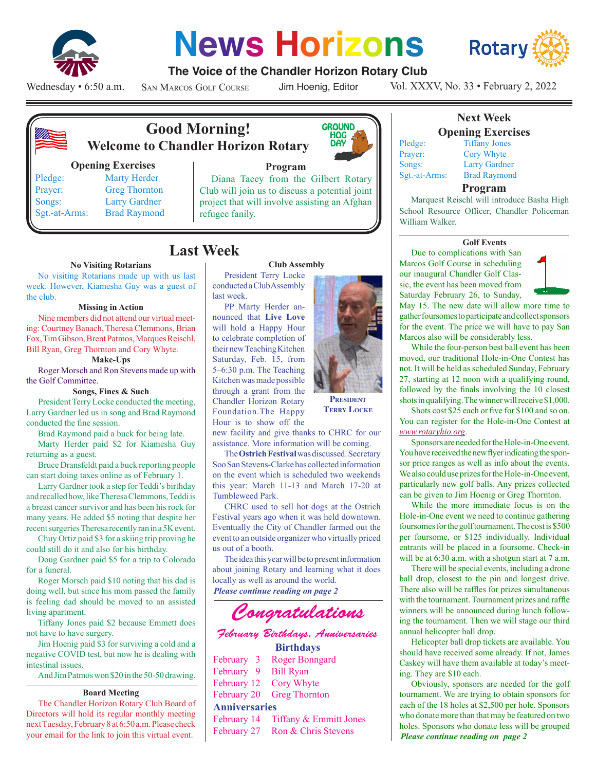

# **News Horizons**



## **The Voice of the Chandler Horizon Rotary Club**

Wednesday • 6:50 a.m.

San Marcos Golf Course

Jim Hoenig, Editor

Vol. XXXV, No. 33 • February 2, 2022



## **Good Morning! Welcome to Chandler Horizon Rotary**

## **Opening Exercises**

Pledge: Marty Herder Prayer: Greg Thornton Songs: Larry Gardner Sgt.-at-Arms: Brad Raymond



President Terry Locke conducted a Club Assembly

PP Marty Herder announced that **Live Love** will hold a Happy Hour to celebrate completion of their new Teaching Kitchen Saturday, Feb. 15, from 5–6:30 p.m. The Teaching Kitchen was made possible through a grant from the Chandler Horizon Rotary Foundation.The Happy Hour is to show off the

## **Program**

Diana Tacey from the Gilbert Rotary Club will join us to discuss a potential joint project that will involve assisting an Afghan refugee fanily.

# **Last Week**

last week.

## **No Visiting Rotarians**

No visiting Rotarians made up with us last week. However, Kiamesha Guy was a guest of the club.

### **Missing in Action**

Nine members did not attend our virtual meeting: Courtney Banach, Theresa Clemmons, Brian Fox, Tim Gibson, Brent Patmos, Marques Reischl, Bill Ryan, Greg Thornton and Cory Whyte.

## **Make-Ups**

Roger Morsch and Ron Stevens made up with the Golf Committee.

### **Songs, Fines & Such**

President Terry Locke conducted the meeting, Larry Gardner led us in song and Brad Raymond conducted the fine session.

Brad Raymond paid a buck for being late.

Marty Herder paid \$2 for Kiamesha Guy returning as a guest.

Bruce Dransfeldt paid a buck reporting people can start doing taxes online as of February 1.

Larry Gardner took a step for Teddi's birthday and recalled how, like Theresa Clemmons, Teddi is a breast cancer survivor and has been his rock for many years. He added \$5 noting that despite her recent surgeries Theresa recently ran in a 5K event.

Chuy Ortiz paid \$3 for a skiing trip proving he could still do it and also for his birthday.

Doug Gardner paid \$5 for a trip to Colorado for a funeral.

Roger Morsch paid \$10 noting that his dad is doing well, but since his mom passed the family is feeling dad should be moved to an assisted living apartment.

Tiffany Jones paid \$2 because Emmett does not have to have surgery.

Jim Hoenig paid \$3 for surviving a cold and a negative COVID test, but now he is dealing with intestinal issues.

And Jim Patmos won \$20 in the 50-50 drawing.

### **Board Meeting**

The Chandler Horizon Rotary Club Board of Directors will hold its regular monthly meeting next Tuesday, February 8 at 6:50 a.m. Please check your email for the link to join this virtual event.



**Terry Locke**

new facility and give thanks to CHRC for our assistance. More information will be coming.

The **Ostrich Festival** was discussed. Secretary Soo San Stevens-Clarke has collected information on the event which is scheduled two weekends this year: March 11-13 and March 17-20 at Tumbleweed Park.

CHRC used to sell hot dogs at the Ostrich Festival years ago when it was held downtown. Eventually the City of Chandler farmed out the event to an outside organizer who virtually priced us out of a booth.

*Please continue reading on page 2* The idea this year will be to present information about joining Rotary and learning what it does locally as well as around the world.



# *February Birthdays, Anniversaries*

## **Birthdays**

|                      | February 3 Roger Bonngard          |  |  |  |  |
|----------------------|------------------------------------|--|--|--|--|
| February 9 Bill Ryan |                                    |  |  |  |  |
|                      | February 12 Cory Whyte             |  |  |  |  |
|                      | February 20 Greg Thornton          |  |  |  |  |
| <b>Anniversaries</b> |                                    |  |  |  |  |
|                      | February 14 Tiffany & Emmitt Jones |  |  |  |  |
|                      | February 27 Ron & Chris Stevens    |  |  |  |  |
|                      |                                    |  |  |  |  |



## **Next Week Opening Exercises** Pledge: Tiffany Jones

Prayer: Cory Whyte

Songs: Larry Gardner Sgt.-at-Arms: Brad Raymond

## **Program**

Marquest Reischl will introduce Basha High School Resource Officer, Chandler Policeman William Walker.

#### **Golf Events**

Due to complications with San Marcos Golf Course in scheduling our inaugural Chandler Golf Classic, the event has been moved from Saturday February 26, to Sunday,



May 15. The new date will allow more time to gather foursomes to participate and collect sponsors for the event. The price we will have to pay San Marcos also will be considerably less.

While the four-person best ball event has been moved, our traditional Hole-in-One Contest has not. It will be held as scheduled Sunday, February 27, starting at 12 noon with a qualifying round, followed by the finals involving the 10 closest shots in qualifying. The winner will receive \$1,000.

Shots cost \$25 each or five for \$100 and so on. You can register for the Hole-in-One Contest at *www.rotaryhio.org*.

Sponsors are needed for the Hole-in-One event. You have received the new flyer indicating the sponsor price ranges as well as info about the events. We also could use prizes for the Hole-in-One event, particularly new golf balls. Any prizes collected can be given to Jim Hoenig or Greg Thornton.

While the more immediate focus is on the Hole-in-One event we need to continue gathering foursomes for the golf tournament. The cost is \$500 per foursome, or \$125 individually. Individual entrants will be placed in a foursome. Check-in will be at 6:30 a.m. with a shotgun start at 7 a.m.

There will be special events, including a drone ball drop, closest to the pin and longest drive. There also will be raffles for prizes simultaneous with the tournament. Tournament prizes and raffle winners will be announced during lunch following the tournament. Then we will stage our third annual helicopter ball drop.

Helicopter ball drop tickets are available. You should have received some already. If not, James Caskey will have them available at today's meeting. They are \$10 each.

*Please continue reading on page 2* Obviously, sponsors are needed for the golf tournament. We are trying to obtain sponsors for each of the 18 holes at \$2,500 per hole. Sponsors who donate more than that may be featured on two holes. Sponsors who donate less will be grouped